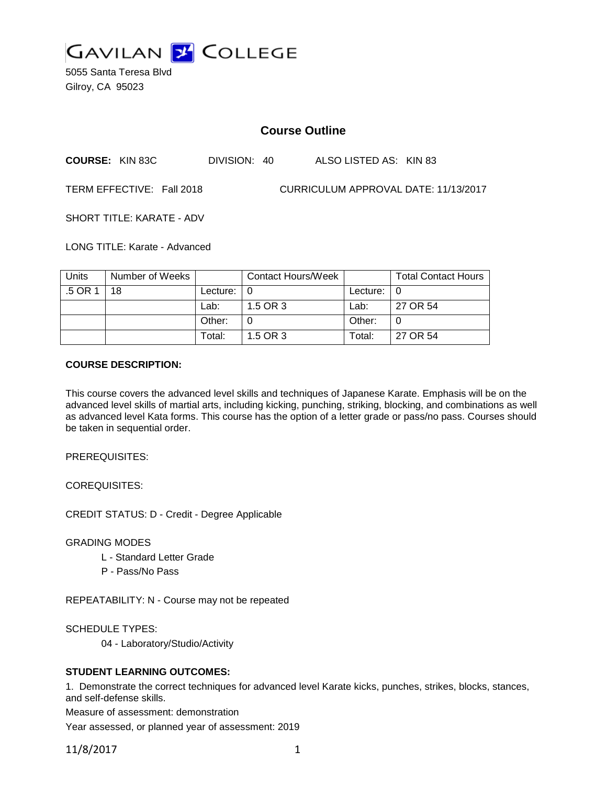

5055 Santa Teresa Blvd Gilroy, CA 95023

# **Course Outline**

| <b>COURSE: KIN 83C</b> | DIVISION: 40 | ALSO LISTED AS: KIN 83 |  |
|------------------------|--------------|------------------------|--|
|                        |              |                        |  |

TERM EFFECTIVE: Fall 2018 CURRICULUM APPROVAL DATE: 11/13/2017

SHORT TITLE: KARATE - ADV

LONG TITLE: Karate - Advanced

| Units   | Number of Weeks |                    | Contact Hours/Week |                    | <b>Total Contact Hours</b> |
|---------|-----------------|--------------------|--------------------|--------------------|----------------------------|
| .5 OR 1 | 18              | Lecture: $\vert 0$ |                    | Lecture: $\vert 0$ |                            |
|         |                 | Lab:               | 1.5 OR 3           | Lab:               | 27 OR 54                   |
|         |                 | Other:             |                    | Other:             |                            |
|         |                 | Total:             | 1.5 OR 3           | Total:             | 27 OR 54                   |

### **COURSE DESCRIPTION:**

This course covers the advanced level skills and techniques of Japanese Karate. Emphasis will be on the advanced level skills of martial arts, including kicking, punching, striking, blocking, and combinations as well as advanced level Kata forms. This course has the option of a letter grade or pass/no pass. Courses should be taken in sequential order.

PREREQUISITES:

COREQUISITES:

CREDIT STATUS: D - Credit - Degree Applicable

GRADING MODES

- L Standard Letter Grade
- P Pass/No Pass

REPEATABILITY: N - Course may not be repeated

SCHEDULE TYPES:

04 - Laboratory/Studio/Activity

#### **STUDENT LEARNING OUTCOMES:**

1. Demonstrate the correct techniques for advanced level Karate kicks, punches, strikes, blocks, stances, and self-defense skills.

Measure of assessment: demonstration

Year assessed, or planned year of assessment: 2019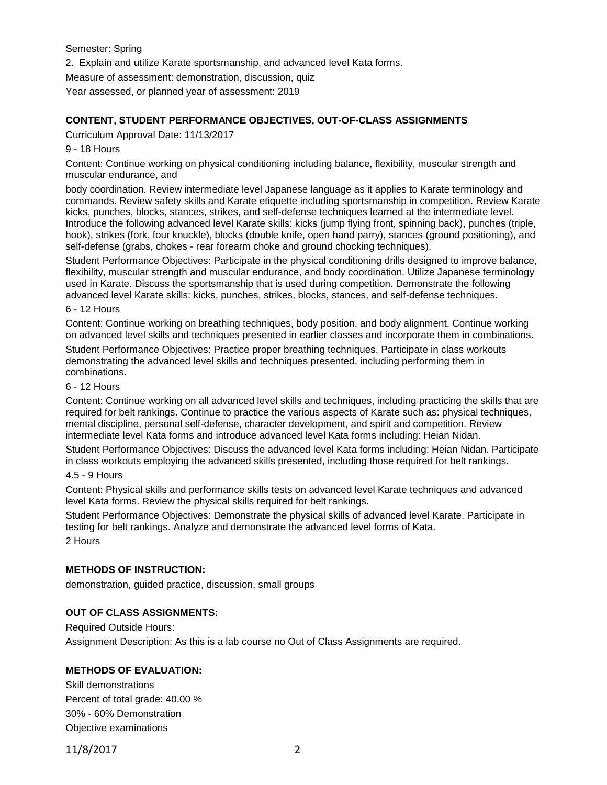Semester: Spring

2. Explain and utilize Karate sportsmanship, and advanced level Kata forms.

Measure of assessment: demonstration, discussion, quiz

Year assessed, or planned year of assessment: 2019

## **CONTENT, STUDENT PERFORMANCE OBJECTIVES, OUT-OF-CLASS ASSIGNMENTS**

Curriculum Approval Date: 11/13/2017

### 9 - 18 Hours

Content: Continue working on physical conditioning including balance, flexibility, muscular strength and muscular endurance, and

body coordination. Review intermediate level Japanese language as it applies to Karate terminology and commands. Review safety skills and Karate etiquette including sportsmanship in competition. Review Karate kicks, punches, blocks, stances, strikes, and self-defense techniques learned at the intermediate level. Introduce the following advanced level Karate skills: kicks (jump flying front, spinning back), punches (triple, hook), strikes (fork, four knuckle), blocks (double knife, open hand parry), stances (ground positioning), and self-defense (grabs, chokes - rear forearm choke and ground chocking techniques).

Student Performance Objectives: Participate in the physical conditioning drills designed to improve balance, flexibility, muscular strength and muscular endurance, and body coordination. Utilize Japanese terminology used in Karate. Discuss the sportsmanship that is used during competition. Demonstrate the following advanced level Karate skills: kicks, punches, strikes, blocks, stances, and self-defense techniques.

#### 6 - 12 Hours

Content: Continue working on breathing techniques, body position, and body alignment. Continue working on advanced level skills and techniques presented in earlier classes and incorporate them in combinations.

Student Performance Objectives: Practice proper breathing techniques. Participate in class workouts demonstrating the advanced level skills and techniques presented, including performing them in combinations.

#### 6 - 12 Hours

Content: Continue working on all advanced level skills and techniques, including practicing the skills that are required for belt rankings. Continue to practice the various aspects of Karate such as: physical techniques, mental discipline, personal self-defense, character development, and spirit and competition. Review intermediate level Kata forms and introduce advanced level Kata forms including: Heian Nidan.

Student Performance Objectives: Discuss the advanced level Kata forms including: Heian Nidan. Participate in class workouts employing the advanced skills presented, including those required for belt rankings.

#### 4.5 - 9 Hours

Content: Physical skills and performance skills tests on advanced level Karate techniques and advanced level Kata forms. Review the physical skills required for belt rankings.

Student Performance Objectives: Demonstrate the physical skills of advanced level Karate. Participate in testing for belt rankings. Analyze and demonstrate the advanced level forms of Kata. 2 Hours

## **METHODS OF INSTRUCTION:**

demonstration, guided practice, discussion, small groups

## **OUT OF CLASS ASSIGNMENTS:**

Required Outside Hours:

Assignment Description: As this is a lab course no Out of Class Assignments are required.

## **METHODS OF EVALUATION:**

Skill demonstrations Percent of total grade: 40.00 % 30% - 60% Demonstration Objective examinations

11/8/2017 2